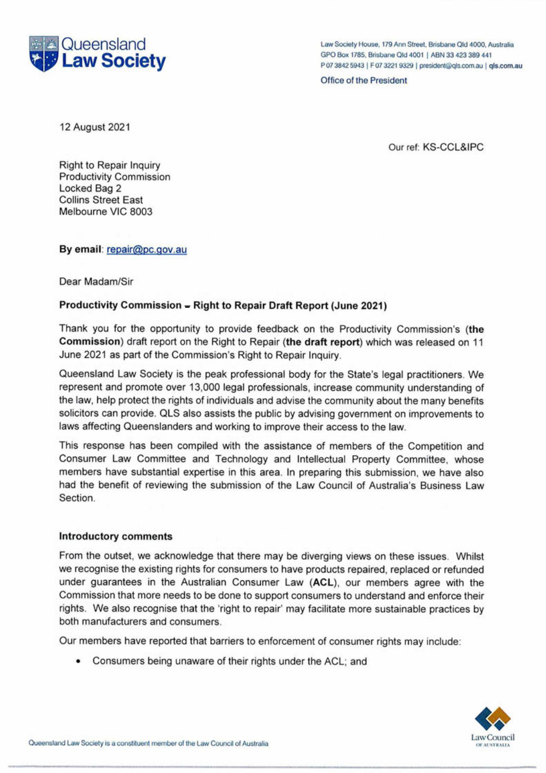

 Law Society House, 179 Ann Street, Brisbane Qld 4000, Australia GPO Box 1785, Brisbane Qld 4001 <sup>|</sup> ABN 33 423 389 441 P 07 3842 5943 <sup>|</sup> F 07 3221 9329 <sup>|</sup> president@qls.com.au <sup>|</sup> qls.com.au

Office of the President

12 August 2021

Our ref: KS-CCL&IPC

Collins Street East Right to Repair Inquiry Productivity Commission Locked Bag 2 Melbourne VIC 8003

**By email:** repair@pc.qov.au

#### Dear Madam/Sir

## **Productivity Commission Right to Repair Draft Report (June 2021) -**

 Thank you for the opportunity to provide feedback on the Productivity Commission's **(the Commission)** draft report on the Right to Repair **(the draft report)** which was released on 11 June 2021 as part of the Commission's Right to Repair Inquiry.

 Queensland Law Society is the peak professional body for the State's legal practitioners. We represent and promote over 13,000 legal professionals, increase community understanding of the law, help protect the rights of individuals and advise the community about the many benefits solicitors can provide. QLS also assists the public by advising government on improvements to laws affecting Queenslanders and working to improve their access to the law.

This response has been compiled with the assistance of members of the Competition and This response has been compiled with the assistance of members of the Competition and<br>Consumer Law Committee and Technology and Intellectual Property Committee, whose members have substantial expertise in this area. In preparing this submission, we have also had the benefit of reviewing the submission of the Law Council of Australia's Business Law Section.

#### **Introductory comments**

 From the outset, we acknowledge that there may be diverging views on these issues. Whilst we recognise the existing rights for consumers to have products repaired, replaced or refunded we recognise the existing rights for consumers to have products repaired, replaced or refunded<br>under guarantees in the Australian Consumer Law (ACL), our members agree with the Commission that more needs to be done to support consumers to understand and enforce their rights. We also recognise that the 'right to repair' may facilitate more sustainable practices by both manufacturers and consumers.

Our members have reported that barriers to enforcement of consumer rights may include:

• Consumers being unaware of their rights under the ACL; and

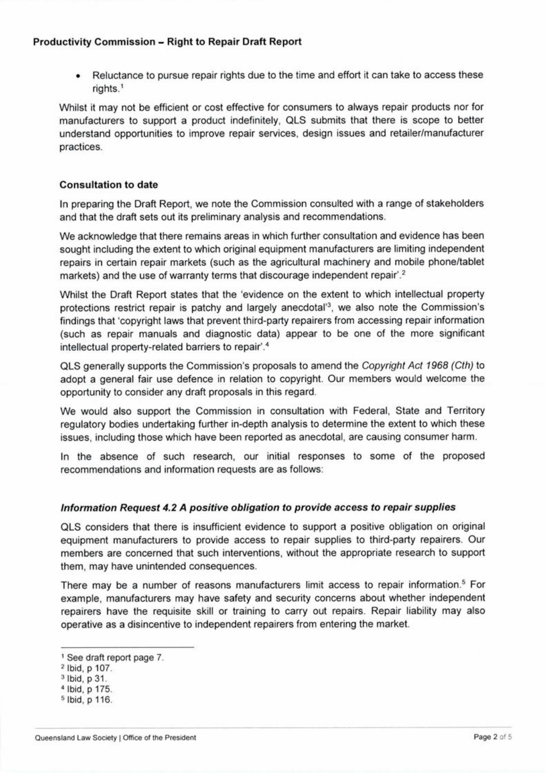• Reluctance to pursue repair rights due to the time and effort it can take to access these rights.1

 Whilst it may not be efficient or cost effective for consumers to always repair products nor for manufacturers to support a product indefinitely, QLS submits that there is scope to better understand opportunities to improve repair services, design issues and retailer/manufacturer practices.

#### **Consultation to date**

 In preparing the Draft Report, we note the Commission consulted with a range of stakeholders and that the draft sets out its preliminary analysis and recommendations.

 We acknowledge that there remains areas in which further consultation and evidence has been sought including the extent to which original equipment manufacturers are limiting independent repairs in certain repair markets (such as the agricultural machinery and mobile phone/tablet markets) and the use of warranty terms that discourage independent repair'.<sup>2</sup>

 Whilst the Draft Report states that the 'evidence on the extent to which intellectual property protections restrict repair is patchy and largely anecdotal'3, we also note the Commission's findings that 'copyright laws that prevent third-party repairers from accessing repair information findings that copyright laws that prevent third-party repairers from accessing repair information<br>(such as repair manuals and diagnostic data) appear to be one of the more significant intellectual property-related barriers to repair'.4

 QLS generally supports the Commission's proposals to amend the *Copyright Act 1968 (Cth)* to opportunity to consider any draft proposals in this regard. adopt a general fair use defence in relation to copyright. Our members would welcome the

We would also support the Commission in consultation with Federal, State and Territory regulatory bodies undertaking further in-depth analysis to determine the extent to which these issues, including those which have been reported as anecdotal, are causing consumer harm.

issues, including those which have been reported as anecdotal, are causing consumer harm.<br>In the absence of such research, our initial responses to some of the proposed recommendations and information requests are as follows:

### *Information Request 4.2 A positive obligation to provide access to repair supplies*

 QLS considers that there is insufficient evidence to support a positive obligation on original equipment manufacturers to provide access to repair supplies to third-party repairers. Our members are concerned that such interventions, without the appropriate research to support them, may have unintended consequences.

There may be a number of reasons manufacturers limit access to repair information.<sup>5</sup> For example, manufacturers may have safety and security concerns about whether independent example, manutacturers may have satety and security concerns about whether independent<br>repairers have the requisite skill or training to carry out repairs. Repair liability may also operative as a disincentive to independent repairers from entering the market.

 <sup>1</sup> See draft report page 7.

<sup>2</sup> Ibid, p 107.

<sup>3</sup> Ibid, p 31.

<sup>4</sup> Ibid, p 175.

<sup>5</sup> Ibid, p 116.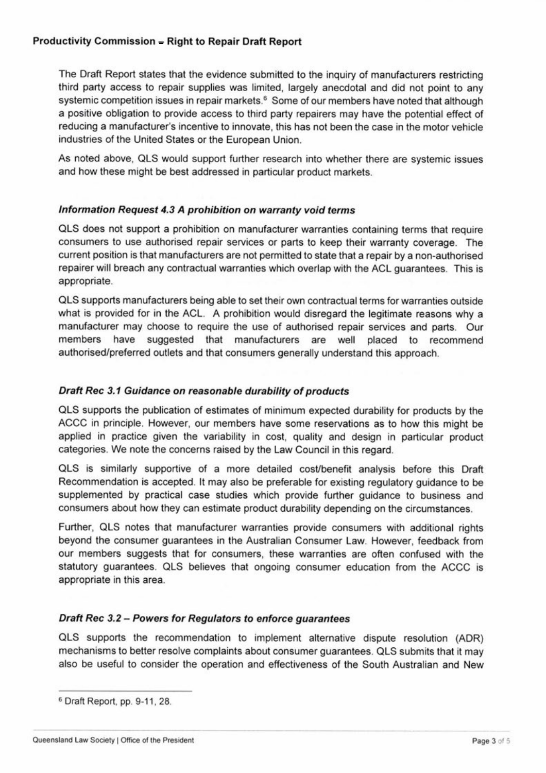The Draft Report states that the evidence submitted to the inquiry of manufacturers restricting third party access to repair supplies was limited, largely anecdotal and did not point to any systemic competition issues in repair markets.<sup>6</sup> Some of our members have noted that although a positive obligation to provide access to third party repairers may have the potential effect of reducing a manufacturer's incentive to innovate, this has not been the case in the motor vehicle industries of the United States or the European Union.

 As noted above, QLS would support further research into whether there are systemic issues and how these might be best addressed in particular product markets.

#### *Information Request 4.3 A prohibition on warranty void terms*

 QLS does not support a prohibition on manufacturer warranties containing terms that require consumers to use authorised repair services or parts to keep their warranty coverage. The current position is that manufacturers are not permitted to state that a repair by a non-authorised repairer will breach any contractual warranties which overlap with the ACL guarantees. This is appropriate.

what is provided for in the ACL. A prohibition would disregard the legitimate reasons why a manufacturer may choose to require the use of authorised repair services and parts. Our rov<br>ure<br>d/p authorised/preferred outlets and that consumers generally understand this approach. QLS supports manufacturers being able to set their own contractual terms for warranties outside members have suggested that manufacturers are well placed to recommend

## *Draft Rec 3.1 Guidance on reasonable durability ofproducts*

 QLS supports the publication of estimates of minimum expected durability for products by the ACCC in principle. However, our members have some reservations as to how this might be ACCC in principle. However, our members have some reservations as to how this might be<br>applied in practice given the variability in cost, quality and design in particular product categories. We note the concerns raised by the Law Council in this regard.

categories. We note the concerns raised by the Law Council in this regard.<br>QLS is similarly supportive of a more detailed cost/benefit analysis before this Draft<br>Pessenmendation is assented It may also be assessible for ex Recommendation is accepted. It may also be preferable for existing regulatory guidance to be Recommendation is accepted. It may also be preterable for existing regulatory guidance to be<br>supplemented by practical case studies which provide further guidance to business and consumers about how they can estimate product durability depending on the circumstances.

 Further, QLS notes that manufacturer warranties provide consumers with additional rights our members suggests that for consumers, these warranties are often confused with the statutory guarantees. QLS believes that ongoing consumer education from the ACCC is appropriate in this area. beyond the consumer guarantees in the Australian Consumer Law. However, feedback from

### *Draft Rec 3.2- Powers for Regulators to enforce guarantees*

Draft Rec 3.2 – Powers for Regulators to enforce guarantees<br>QLS supports the recommendation to implement alternative dispute resolution (ADR)<br>mechanisms to better resolve complaints about consumer guarantees. Of S submits mechanisms to better resolve complaints about consumer guarantees. QLS submits that it may also be useful to consider the operation and effectiveness of the South Australian and New

<sup>6</sup> Draft Report, pp. 9-11,28.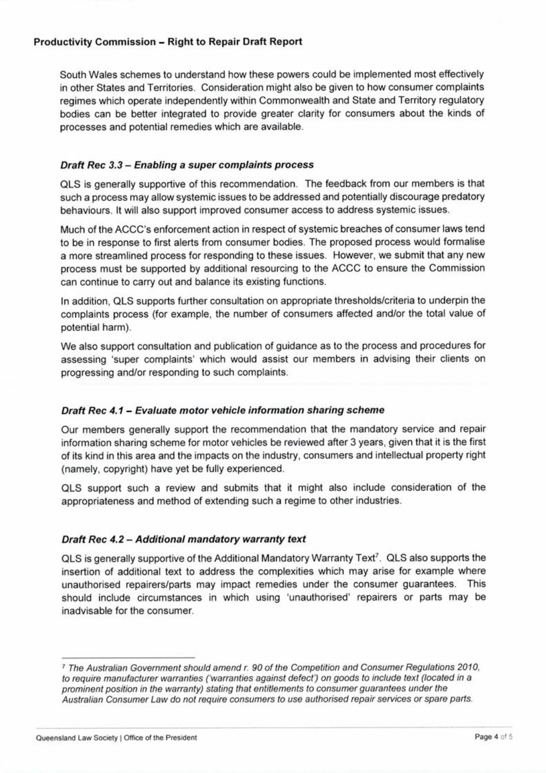South Wales schemes to understand how these powers could be implemented most effectively in other States and Territories. Consideration might also be given to how consumer complaints regimes which operate independently within Commonwealth and State and Territory regulatory bodies can be better integrated to provide greater clarity for consumers about the kinds of processes and potential remedies which are available.

### *Draft Rec 3.3- Enabling a super complaints process*

 QLS is generally supportive of this recommendation. The feedback from our members is that such a process may allow systemic issues to be addressed and potentially discourage predatory behaviours. It will also support improved consumer access to address systemic issues.

 Much of the ACCC's enforcement action in respect of systemic breaches of consumer laws tend to be in response to first alerts from consumer bodies. The proposed process would formalise a more streamlined process for responding to these issues. However, we submit that any new process must be supported by additional resourcing to the ACCC to ensure the Commission can continue to carry out and balance its existing functions.

 In addition, QLS supports further consultation on appropriate thresholds/criteria to underpin the complaints process (for example, the number of consumers affected and/or the total value of potential harm).

 We also support consultation and publication of guidance as to the process and procedures for progressing and/or responding to such complaints. assessing 'super complaints' which would assist our members in advising their clients on

## *Draft Rec 4.1 Evaluate motor vehicle information sharing scheme -*

 Our members generally support the recommendation that the mandatory service and repair information sharing scheme for motor vehicles be reviewed after 3 years, given that it is the first of its kind in this area and the impacts on the industry, consumers and intellectual property right (namely, copyright) have yet be fully experienced.

 QLS support such a review and submits that it might also include consideration of the appropriateness and method of extending such a regime to other industries.

### *Draft Rec 4.2- Additional mandatory warranty text*

QLS is generally supportive of the Additional Mandatory Warranty Text<sup>7</sup>. QLS also supports the insertion of additional text to address the complexities which may arise for example where unauthorised repairers/parts may impact remedies under the consumer guarantees. This<br>should include circumstances in which using 'unauthorised' repairers or parts may be should include circumstances in which using 'unauthorised' repairers or parts may be inadvisable for the consumer.

 <sup>7</sup> *The Australian Government should amend r. 90 of the Competition and Consumer Regulations 2010, to require manufacturer warranties ('warranties against defect') on goods to include text (located in a prominent position in the warranty) stating that entitlements to consumerguarantees under the Australian Consumer Law do not require consumers to use authorised repair services or spare parts.*